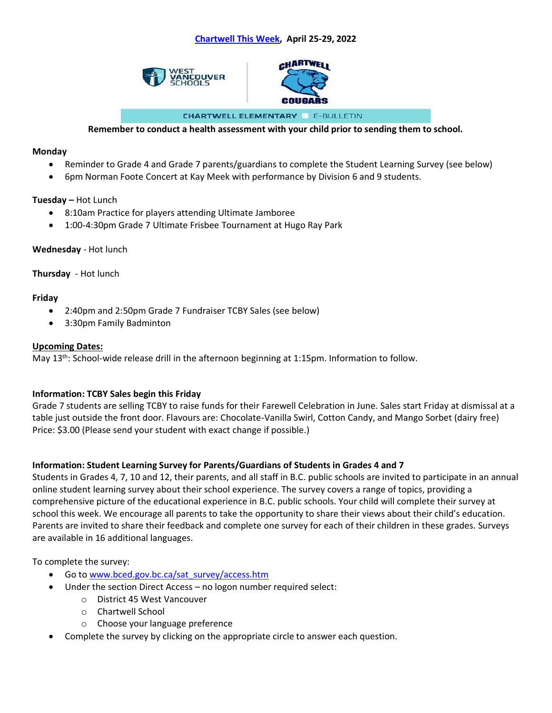



**CHARTWELL ELEMENTARY E-BULLETIN** 

#### **Remember to conduct a health assessment with your child prior to sending them to school.**

#### **Monday**

- Reminder to Grade 4 and Grade 7 parents/guardians to complete the Student Learning Survey (see below)
- 6pm Norman Foote Concert at Kay Meek with performance by Division 6 and 9 students.

### **Tuesday –** Hot Lunch

- 8:10am Practice for players attending Ultimate Jamboree
- 1:00-4:30pm Grade 7 Ultimate Frisbee Tournament at Hugo Ray Park

#### **Wednesday** - Hot lunch

### **Thursday** - Hot lunch

### **Friday**

- 2:40pm and 2:50pm Grade 7 Fundraiser TCBY Sales (see below)
- 3:30pm Family Badminton

#### **Upcoming Dates:**

May 13th: School-wide release drill in the afternoon beginning at 1:15pm. Information to follow.

# **Information: TCBY Sales begin this Friday**

Grade 7 students are selling TCBY to raise funds for their Farewell Celebration in June. Sales start Friday at dismissal at a table just outside the front door. Flavours are: Chocolate-Vanilla Swirl, Cotton Candy, and Mango Sorbet (dairy free) Price: \$3.00 (Please send your student with exact change if possible.)

# **Information: Student Learning Survey for Parents/Guardians of Students in Grades 4 and 7**

Students in Grades 4, 7, 10 and 12, their parents, and all staff in B.C. public schools are invited to participate in an annual online student learning survey about their school experience. The survey covers a range of topics, providing a comprehensive picture of the educational experience in B.C. public schools. Your child will complete their survey at school this week. We encourage all parents to take the opportunity to share their views about their child's education. Parents are invited to share their feedback and complete one survey for each of their children in these grades. Surveys are available in 16 additional languages.

#### To complete the survey:

- Go to [www.bced.gov.bc.ca/sat\\_survey/access.htm](http://www.bced.gov.bc.ca/sat_survey/access.htm)
- Under the section Direct Access no logon number required select:
	- o District 45 West Vancouver
	- o Chartwell School
	- o Choose your language preference
- Complete the survey by clicking on the appropriate circle to answer each question.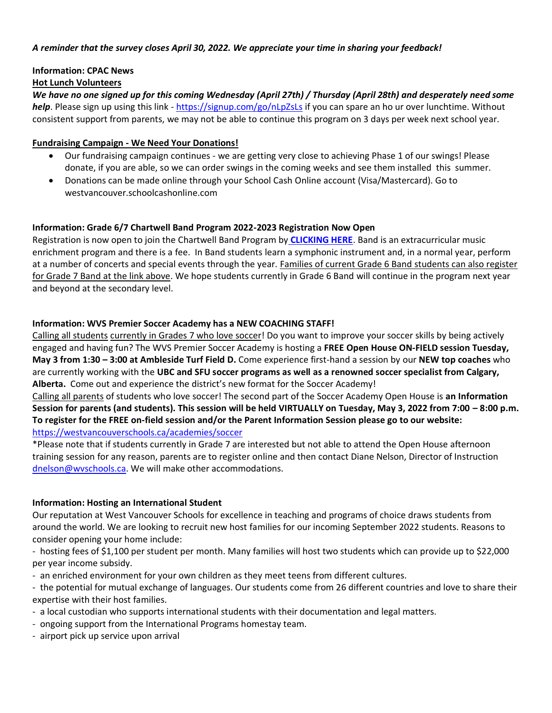#### *A reminder that the survey closes April 30, 2022. We appreciate your time in sharing your feedback!*

# **Information: CPAC News**

# **Hot Lunch Volunteers**

*We have no one signed up for this coming Wednesday (April 27th) / Thursday (April 28th) and desperately need some help*. Please sign up using this link - <https://signup.com/go/nLpZsLs> if you can spare an ho ur over lunchtime. Without consistent support from parents, we may not be able to continue this program on 3 days per week next school year.

### **Fundraising Campaign - We Need Your Donations!**

- Our fundraising campaign continues we are getting very close to achieving Phase 1 of our swings! Please donate, if you are able, so we can order swings in the coming weeks and see them installed this summer.
- Donations can be made online through your School Cash Online account (Visa/Mastercard). Go to westvancouver.schoolcashonline.com

# **Information: Grade 6/7 Chartwell Band Program 2022-2023 Registration Now Open**

Registration is now open to join the Chartwell Band Program by **[CLICKING HERE](https://westvancouverschools.ca/programs/elementary-band.)**. Band is an extracurricular music enrichment program and there is a fee. In Band students learn a symphonic instrument and, in a normal year, perform at a number of concerts and special events through the year. Families of current Grade 6 Band students can also register for Grade 7 Band at the link above. We hope students currently in Grade 6 Band will continue in the program next year and beyond at the secondary level.

# **Information: WVS Premier Soccer Academy has a NEW COACHING STAFF!**

Calling all students currently in Grades 7 who love soccer! Do you want to improve your soccer skills by being actively engaged and having fun? The WVS Premier Soccer Academy is hosting a **FREE Open House ON-FIELD session Tuesday, May 3 from 1:30 – 3:00 at Ambleside Turf Field D.** Come experience first-hand a session by our **NEW top coaches** who are currently working with the **UBC and SFU soccer programs as well as a renowned soccer specialist from Calgary, Alberta.** Come out and experience the district's new format for the Soccer Academy!

Calling all parents of students who love soccer! The second part of the Soccer Academy Open House is **an Information Session for parents (and students). This session will be held VIRTUALLY on Tuesday, May 3, 2022 from 7:00 – 8:00 p.m. To register for the FREE on-field session and/or the Parent Information Session please go to our website:**  <https://westvancouverschools.ca/academies/soccer>

\*Please note that if students currently in Grade 7 are interested but not able to attend the Open House afternoon training session for any reason, parents are to register online and then contact Diane Nelson, Director of Instruction [dnelson@wvschools.ca.](mailto:dnelson@wvschools.ca) We will make other accommodations.

#### **Information: Hosting an International Student**

Our reputation at West Vancouver Schools for excellence in teaching and programs of choice draws students from around the world. We are looking to recruit new host families for our incoming September 2022 students. Reasons to consider opening your home include:

- hosting fees of \$1,100 per student per month. Many families will host two students which can provide up to \$22,000 per year income subsidy.

- an enriched environment for your own children as they meet teens from different cultures.

- the potential for mutual exchange of languages. Our students come from 26 different countries and love to share their expertise with their host families.

- a local custodian who supports international students with their documentation and legal matters.
- ongoing support from the International Programs homestay team.
- airport pick up service upon arrival